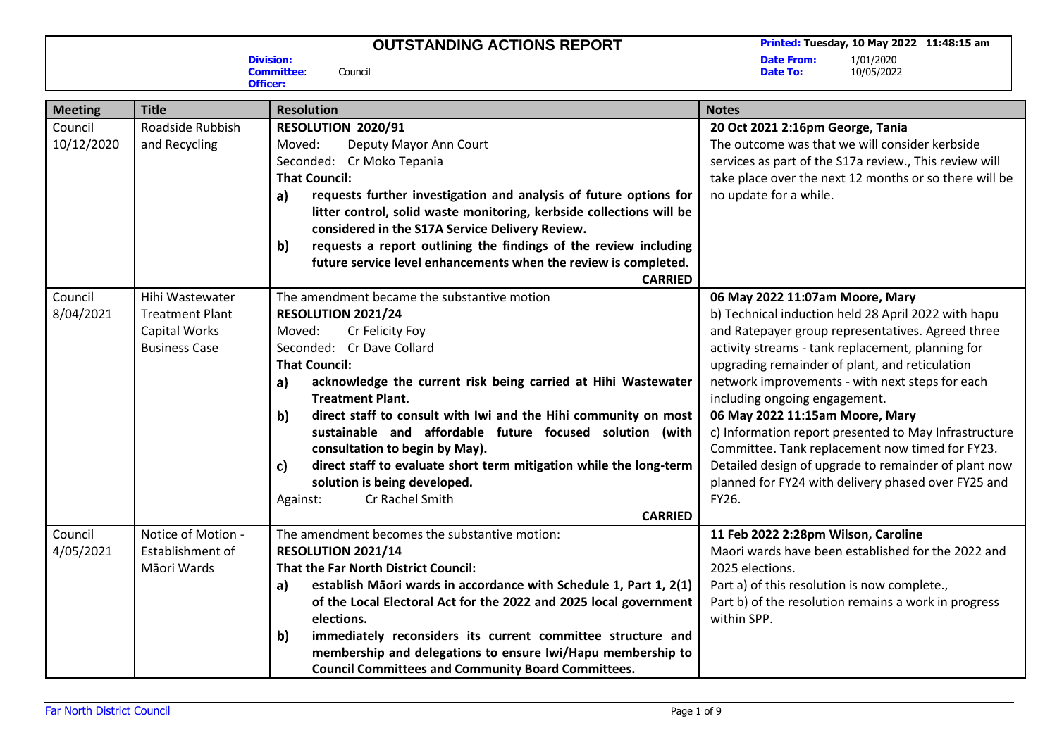**Date To:** 10/05/2022

**Date From:**<br>Date To:

**Division: Committee**: Council

**Officer:**

| <b>Meeting</b> | <b>Title</b>           | <b>Resolution</b>                                                                                        | <b>Notes</b>                                                                                                |
|----------------|------------------------|----------------------------------------------------------------------------------------------------------|-------------------------------------------------------------------------------------------------------------|
| Council        | Roadside Rubbish       | RESOLUTION 2020/91                                                                                       | 20 Oct 2021 2:16pm George, Tania                                                                            |
| 10/12/2020     | and Recycling          | Moved:<br>Deputy Mayor Ann Court                                                                         | The outcome was that we will consider kerbside                                                              |
|                |                        | Seconded: Cr Moko Tepania                                                                                | services as part of the S17a review., This review will                                                      |
|                |                        | <b>That Council:</b>                                                                                     | take place over the next 12 months or so there will be                                                      |
|                |                        | requests further investigation and analysis of future options for<br>a)                                  | no update for a while.                                                                                      |
|                |                        | litter control, solid waste monitoring, kerbside collections will be                                     |                                                                                                             |
|                |                        | considered in the S17A Service Delivery Review.                                                          |                                                                                                             |
|                |                        | requests a report outlining the findings of the review including<br>b)                                   |                                                                                                             |
|                |                        | future service level enhancements when the review is completed.                                          |                                                                                                             |
|                |                        | <b>CARRIED</b>                                                                                           |                                                                                                             |
| Council        | Hihi Wastewater        | The amendment became the substantive motion                                                              | 06 May 2022 11:07am Moore, Mary                                                                             |
| 8/04/2021      | <b>Treatment Plant</b> | RESOLUTION 2021/24                                                                                       | b) Technical induction held 28 April 2022 with hapu                                                         |
|                | <b>Capital Works</b>   | Cr Felicity Foy<br>Moved:                                                                                | and Ratepayer group representatives. Agreed three                                                           |
|                | <b>Business Case</b>   | Seconded: Cr Dave Collard                                                                                | activity streams - tank replacement, planning for                                                           |
|                |                        | <b>That Council:</b>                                                                                     | upgrading remainder of plant, and reticulation                                                              |
|                |                        | acknowledge the current risk being carried at Hihi Wastewater<br>a)                                      | network improvements - with next steps for each                                                             |
|                |                        | <b>Treatment Plant.</b>                                                                                  | including ongoing engagement.                                                                               |
|                |                        | b)<br>direct staff to consult with Iwi and the Hihi community on most                                    | 06 May 2022 11:15am Moore, Mary                                                                             |
|                |                        | sustainable and affordable future focused solution (with                                                 | c) Information report presented to May Infrastructure                                                       |
|                |                        | consultation to begin by May).                                                                           | Committee. Tank replacement now timed for FY23.                                                             |
|                |                        | direct staff to evaluate short term mitigation while the long-term<br>c)<br>solution is being developed. | Detailed design of upgrade to remainder of plant now<br>planned for FY24 with delivery phased over FY25 and |
|                |                        | Cr Rachel Smith<br>Against:                                                                              | FY26.                                                                                                       |
|                |                        | <b>CARRIED</b>                                                                                           |                                                                                                             |
| Council        | Notice of Motion -     | The amendment becomes the substantive motion:                                                            | 11 Feb 2022 2:28pm Wilson, Caroline                                                                         |
| 4/05/2021      | Establishment of       | RESOLUTION 2021/14                                                                                       | Maori wards have been established for the 2022 and                                                          |
|                | Māori Wards            | <b>That the Far North District Council:</b>                                                              | 2025 elections.                                                                                             |
|                |                        | establish Māori wards in accordance with Schedule 1, Part 1, 2(1)<br>a)                                  | Part a) of this resolution is now complete.,                                                                |
|                |                        | of the Local Electoral Act for the 2022 and 2025 local government                                        | Part b) of the resolution remains a work in progress                                                        |
|                |                        | elections.                                                                                               | within SPP.                                                                                                 |
|                |                        | immediately reconsiders its current committee structure and<br>b)                                        |                                                                                                             |
|                |                        | membership and delegations to ensure Iwi/Hapu membership to                                              |                                                                                                             |
|                |                        | <b>Council Committees and Community Board Committees.</b>                                                |                                                                                                             |
|                |                        |                                                                                                          |                                                                                                             |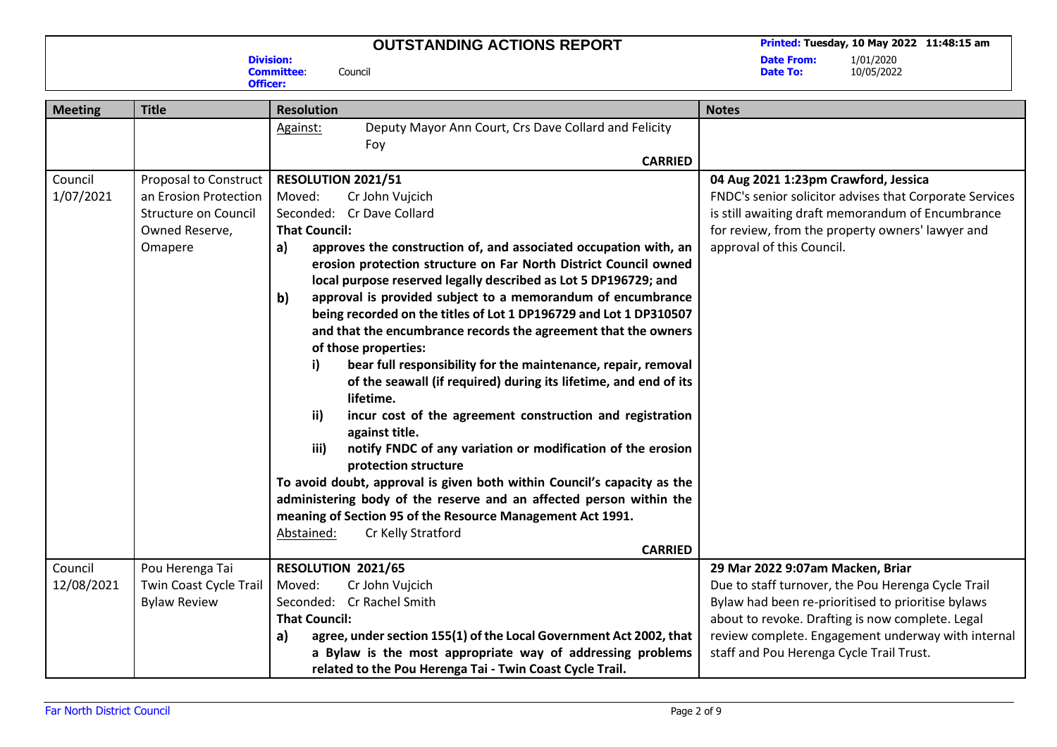**Division:**

**Officer:**

**Committee**: Council

**Date From:**<br>Date To:

| <b>Meeting</b> | <b>Title</b>           | <b>Resolution</b>                                                                           | <b>Notes</b>                                            |
|----------------|------------------------|---------------------------------------------------------------------------------------------|---------------------------------------------------------|
|                |                        | Deputy Mayor Ann Court, Crs Dave Collard and Felicity<br>Against:                           |                                                         |
|                |                        | Foy                                                                                         |                                                         |
|                |                        | <b>CARRIED</b>                                                                              |                                                         |
| Council        | Proposal to Construct  | RESOLUTION 2021/51                                                                          | 04 Aug 2021 1:23pm Crawford, Jessica                    |
| 1/07/2021      | an Erosion Protection  | Moved:<br>Cr John Vujcich                                                                   | FNDC's senior solicitor advises that Corporate Services |
|                | Structure on Council   | Seconded: Cr Dave Collard                                                                   | is still awaiting draft memorandum of Encumbrance       |
|                | Owned Reserve,         | <b>That Council:</b>                                                                        | for review, from the property owners' lawyer and        |
|                | Omapere                | approves the construction of, and associated occupation with, an<br>a)                      | approval of this Council.                               |
|                |                        | erosion protection structure on Far North District Council owned                            |                                                         |
|                |                        | local purpose reserved legally described as Lot 5 DP196729; and                             |                                                         |
|                |                        | b)<br>approval is provided subject to a memorandum of encumbrance                           |                                                         |
|                |                        | being recorded on the titles of Lot 1 DP196729 and Lot 1 DP310507                           |                                                         |
|                |                        | and that the encumbrance records the agreement that the owners                              |                                                         |
|                |                        | of those properties:                                                                        |                                                         |
|                |                        | bear full responsibility for the maintenance, repair, removal<br>i)                         |                                                         |
|                |                        | of the seawall (if required) during its lifetime, and end of its                            |                                                         |
|                |                        | lifetime.                                                                                   |                                                         |
|                |                        | incur cost of the agreement construction and registration<br>ii)<br>against title.          |                                                         |
|                |                        | iii)<br>notify FNDC of any variation or modification of the erosion<br>protection structure |                                                         |
|                |                        | To avoid doubt, approval is given both within Council's capacity as the                     |                                                         |
|                |                        | administering body of the reserve and an affected person within the                         |                                                         |
|                |                        | meaning of Section 95 of the Resource Management Act 1991.                                  |                                                         |
|                |                        | Cr Kelly Stratford<br>Abstained:                                                            |                                                         |
|                |                        | <b>CARRIED</b>                                                                              |                                                         |
| Council        | Pou Herenga Tai        | RESOLUTION 2021/65                                                                          | 29 Mar 2022 9:07am Macken, Briar                        |
| 12/08/2021     | Twin Coast Cycle Trail | Moved:<br>Cr John Vujcich                                                                   | Due to staff turnover, the Pou Herenga Cycle Trail      |
|                | <b>Bylaw Review</b>    | Seconded: Cr Rachel Smith                                                                   | Bylaw had been re-prioritised to prioritise bylaws      |
|                |                        | <b>That Council:</b>                                                                        | about to revoke. Drafting is now complete. Legal        |
|                |                        | agree, under section 155(1) of the Local Government Act 2002, that<br>a)                    | review complete. Engagement underway with internal      |
|                |                        | a Bylaw is the most appropriate way of addressing problems                                  | staff and Pou Herenga Cycle Trail Trust.                |
|                |                        | related to the Pou Herenga Tai - Twin Coast Cycle Trail.                                    |                                                         |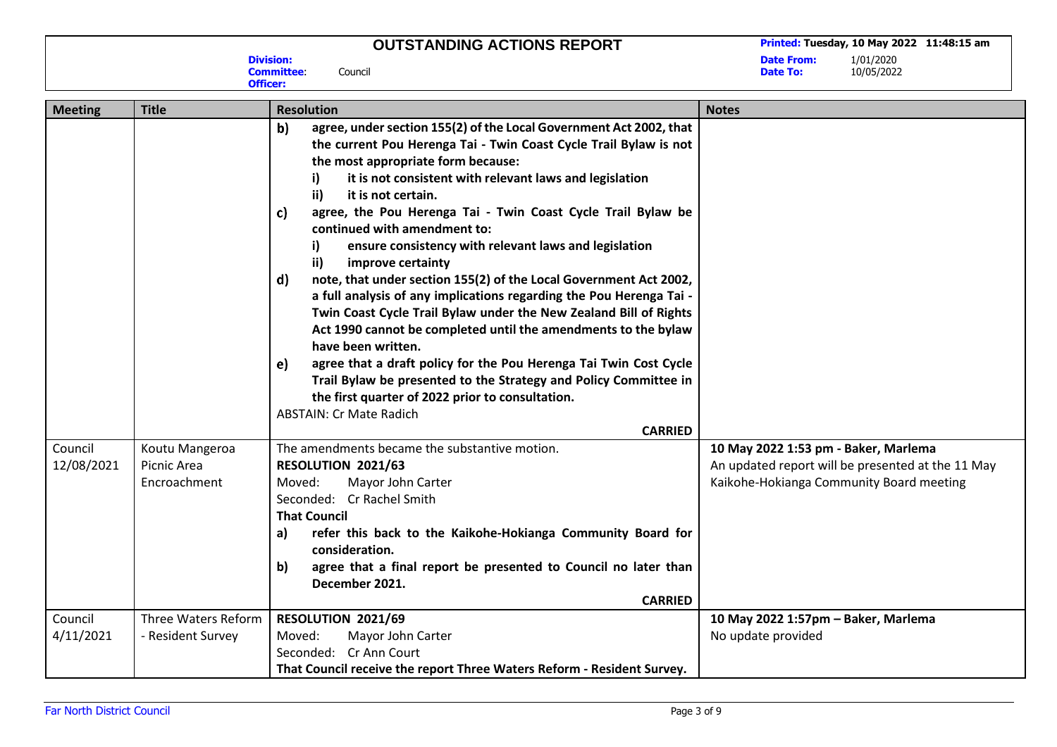**Date From:**<br>Date To:

**Date To:** 10/05/2022

| <b>Meeting</b>        | <b>Title</b>                                  | <b>Resolution</b>                                                                                                                                                                                                                                                                                                                                                                                                                                                                                                                                                                                                                                                                                                                                                                                                                                                                                                                                                                                                                                                  | <b>Notes</b>                                                                                                                          |
|-----------------------|-----------------------------------------------|--------------------------------------------------------------------------------------------------------------------------------------------------------------------------------------------------------------------------------------------------------------------------------------------------------------------------------------------------------------------------------------------------------------------------------------------------------------------------------------------------------------------------------------------------------------------------------------------------------------------------------------------------------------------------------------------------------------------------------------------------------------------------------------------------------------------------------------------------------------------------------------------------------------------------------------------------------------------------------------------------------------------------------------------------------------------|---------------------------------------------------------------------------------------------------------------------------------------|
|                       |                                               | b)<br>agree, under section 155(2) of the Local Government Act 2002, that<br>the current Pou Herenga Tai - Twin Coast Cycle Trail Bylaw is not<br>the most appropriate form because:<br>it is not consistent with relevant laws and legislation<br>i)<br>ii)<br>it is not certain.<br>agree, the Pou Herenga Tai - Twin Coast Cycle Trail Bylaw be<br>c)<br>continued with amendment to:<br>ensure consistency with relevant laws and legislation<br>i)<br>$\mathbf{ii}$<br>improve certainty<br>note, that under section 155(2) of the Local Government Act 2002,<br>d)<br>a full analysis of any implications regarding the Pou Herenga Tai -<br>Twin Coast Cycle Trail Bylaw under the New Zealand Bill of Rights<br>Act 1990 cannot be completed until the amendments to the bylaw<br>have been written.<br>agree that a draft policy for the Pou Herenga Tai Twin Cost Cycle<br>e)<br>Trail Bylaw be presented to the Strategy and Policy Committee in<br>the first quarter of 2022 prior to consultation.<br><b>ABSTAIN: Cr Mate Radich</b><br><b>CARRIED</b> |                                                                                                                                       |
| Council<br>12/08/2021 | Koutu Mangeroa<br>Picnic Area<br>Encroachment | The amendments became the substantive motion.<br>RESOLUTION 2021/63<br>Moved:<br>Mayor John Carter<br>Seconded: Cr Rachel Smith<br><b>That Council</b><br>refer this back to the Kaikohe-Hokianga Community Board for<br>a)<br>consideration.<br>agree that a final report be presented to Council no later than<br>b)<br>December 2021.<br><b>CARRIED</b>                                                                                                                                                                                                                                                                                                                                                                                                                                                                                                                                                                                                                                                                                                         | 10 May 2022 1:53 pm - Baker, Marlema<br>An updated report will be presented at the 11 May<br>Kaikohe-Hokianga Community Board meeting |
| Council               | Three Waters Reform                           | RESOLUTION 2021/69                                                                                                                                                                                                                                                                                                                                                                                                                                                                                                                                                                                                                                                                                                                                                                                                                                                                                                                                                                                                                                                 | 10 May 2022 1:57pm - Baker, Marlema                                                                                                   |
| 4/11/2021             | - Resident Survey                             | Moved:<br>Mayor John Carter                                                                                                                                                                                                                                                                                                                                                                                                                                                                                                                                                                                                                                                                                                                                                                                                                                                                                                                                                                                                                                        | No update provided                                                                                                                    |
|                       |                                               | Seconded: Cr Ann Court<br>That Council receive the report Three Waters Reform - Resident Survey.                                                                                                                                                                                                                                                                                                                                                                                                                                                                                                                                                                                                                                                                                                                                                                                                                                                                                                                                                                   |                                                                                                                                       |

**Printed: Tuesday, 10 May 2022 11:48:15 am** 

#### **Division: Committee**: Council **Officer:**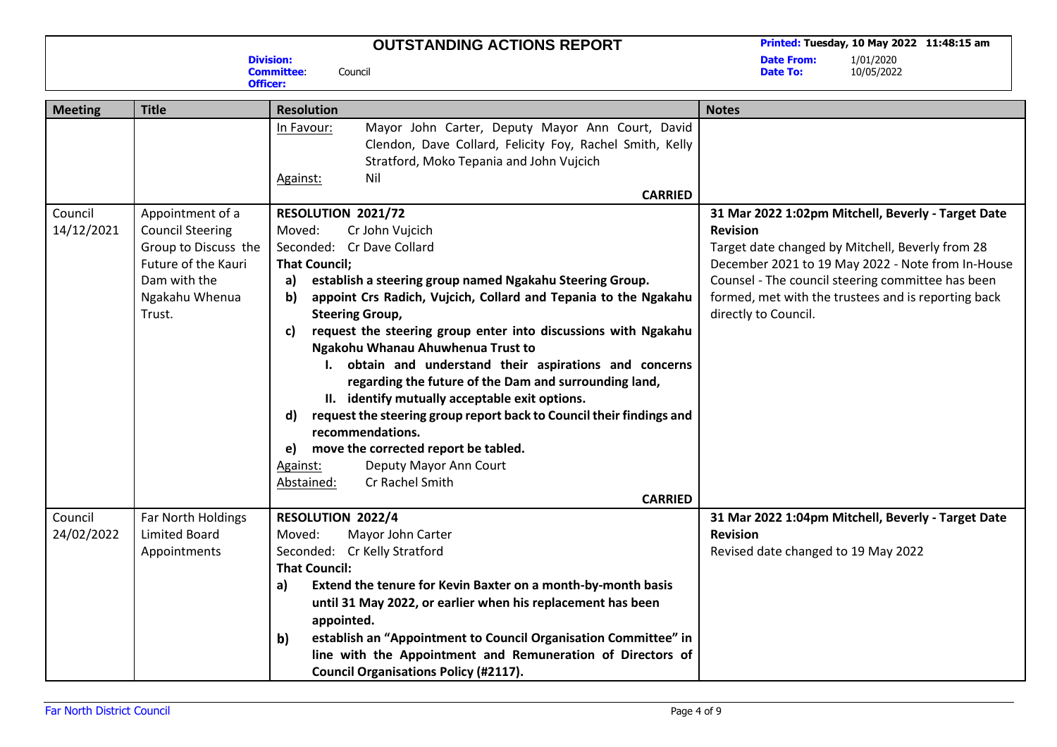**Division: Committee**: Council **Officer:**

**Printed: Tuesday, 10 May 2022 11:48:15 am** 

**Date From:**<br>Date To:

| <b>Meeting</b> | <b>Title</b>            | <b>Resolution</b>                                                                                                                                                                                           | <b>Notes</b>                                        |
|----------------|-------------------------|-------------------------------------------------------------------------------------------------------------------------------------------------------------------------------------------------------------|-----------------------------------------------------|
|                |                         | Mayor John Carter, Deputy Mayor Ann Court, David<br>In Favour:<br>Clendon, Dave Collard, Felicity Foy, Rachel Smith, Kelly<br>Stratford, Moko Tepania and John Vujcich<br>Nil<br>Against:<br><b>CARRIED</b> |                                                     |
| Council        | Appointment of a        | RESOLUTION 2021/72                                                                                                                                                                                          | 31 Mar 2022 1:02pm Mitchell, Beverly - Target Date  |
| 14/12/2021     | <b>Council Steering</b> | Moved:<br>Cr John Vujcich                                                                                                                                                                                   | <b>Revision</b>                                     |
|                | Group to Discuss the    | Seconded: Cr Dave Collard                                                                                                                                                                                   | Target date changed by Mitchell, Beverly from 28    |
|                | Future of the Kauri     | <b>That Council;</b>                                                                                                                                                                                        | December 2021 to 19 May 2022 - Note from In-House   |
|                | Dam with the            | establish a steering group named Ngakahu Steering Group.<br>a)                                                                                                                                              | Counsel - The council steering committee has been   |
|                | Ngakahu Whenua          | appoint Crs Radich, Vujcich, Collard and Tepania to the Ngakahu<br>b)                                                                                                                                       | formed, met with the trustees and is reporting back |
|                | Trust.                  | <b>Steering Group,</b>                                                                                                                                                                                      | directly to Council.                                |
|                |                         | request the steering group enter into discussions with Ngakahu<br>C)                                                                                                                                        |                                                     |
|                |                         | Ngakohu Whanau Ahuwhenua Trust to                                                                                                                                                                           |                                                     |
|                |                         | I. obtain and understand their aspirations and concerns<br>regarding the future of the Dam and surrounding land,                                                                                            |                                                     |
|                |                         | II. identify mutually acceptable exit options.                                                                                                                                                              |                                                     |
|                |                         | request the steering group report back to Council their findings and<br>$\mathsf{d}$                                                                                                                        |                                                     |
|                |                         | recommendations.                                                                                                                                                                                            |                                                     |
|                |                         | move the corrected report be tabled.<br>e)                                                                                                                                                                  |                                                     |
|                |                         | Deputy Mayor Ann Court<br>Against:                                                                                                                                                                          |                                                     |
|                |                         | Cr Rachel Smith<br>Abstained:                                                                                                                                                                               |                                                     |
|                |                         | <b>CARRIED</b>                                                                                                                                                                                              |                                                     |
| Council        | Far North Holdings      | RESOLUTION 2022/4                                                                                                                                                                                           | 31 Mar 2022 1:04pm Mitchell, Beverly - Target Date  |
| 24/02/2022     | <b>Limited Board</b>    | Mayor John Carter<br>Moved:                                                                                                                                                                                 | <b>Revision</b>                                     |
|                | Appointments            | Seconded: Cr Kelly Stratford                                                                                                                                                                                | Revised date changed to 19 May 2022                 |
|                |                         | <b>That Council:</b>                                                                                                                                                                                        |                                                     |
|                |                         | Extend the tenure for Kevin Baxter on a month-by-month basis<br>a)                                                                                                                                          |                                                     |
|                |                         | until 31 May 2022, or earlier when his replacement has been                                                                                                                                                 |                                                     |
|                |                         | appointed.                                                                                                                                                                                                  |                                                     |
|                |                         | establish an "Appointment to Council Organisation Committee" in<br>b)                                                                                                                                       |                                                     |
|                |                         | line with the Appointment and Remuneration of Directors of                                                                                                                                                  |                                                     |
|                |                         | <b>Council Organisations Policy (#2117).</b>                                                                                                                                                                |                                                     |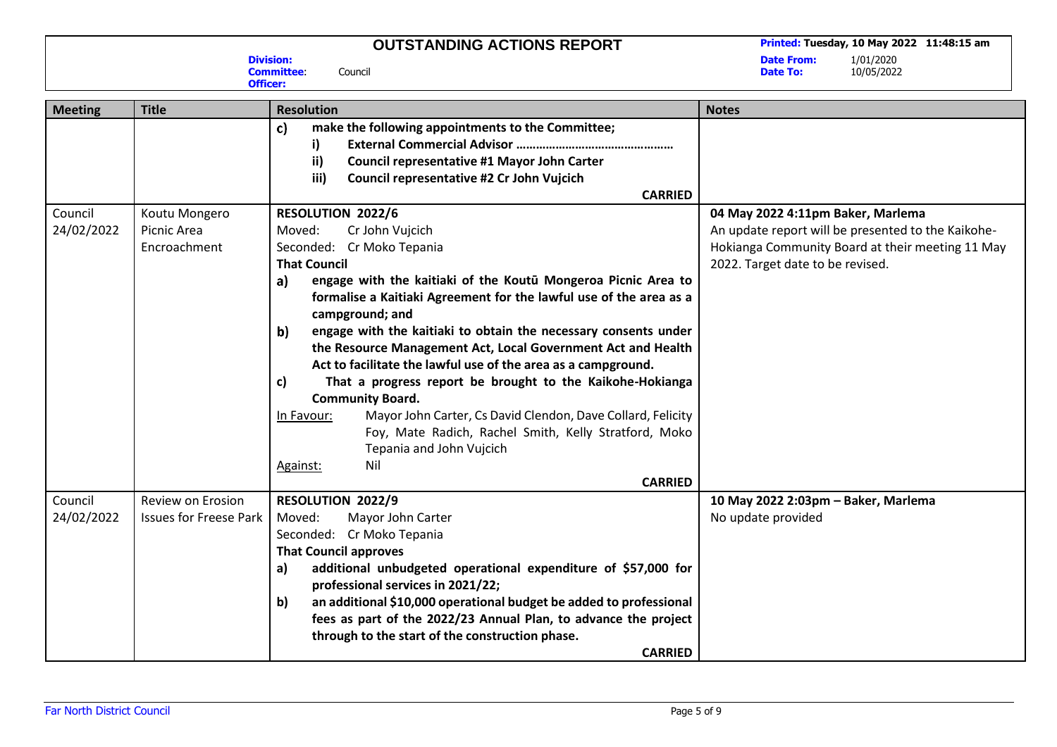**Printed: Tuesday, 10 May 2022 11:48:15 am** 

**Date From:**<br>Date To:

**Date To:** 10/05/2022

| <b>Meeting</b> | <b>Title</b>                  | <b>Resolution</b>                                                                                                                                                                                                                                                                                                                                                                                                                                                                                           | <b>Notes</b>                                       |
|----------------|-------------------------------|-------------------------------------------------------------------------------------------------------------------------------------------------------------------------------------------------------------------------------------------------------------------------------------------------------------------------------------------------------------------------------------------------------------------------------------------------------------------------------------------------------------|----------------------------------------------------|
|                |                               | c)<br>make the following appointments to the Committee;<br>i)                                                                                                                                                                                                                                                                                                                                                                                                                                               |                                                    |
|                |                               | ii)<br><b>Council representative #1 Mayor John Carter</b>                                                                                                                                                                                                                                                                                                                                                                                                                                                   |                                                    |
|                |                               | iii)<br>Council representative #2 Cr John Vujcich                                                                                                                                                                                                                                                                                                                                                                                                                                                           |                                                    |
|                |                               | <b>CARRIED</b>                                                                                                                                                                                                                                                                                                                                                                                                                                                                                              |                                                    |
| Council        | Koutu Mongero                 | <b>RESOLUTION 2022/6</b>                                                                                                                                                                                                                                                                                                                                                                                                                                                                                    | 04 May 2022 4:11pm Baker, Marlema                  |
| 24/02/2022     | Picnic Area                   | Moved:<br>Cr John Vujcich                                                                                                                                                                                                                                                                                                                                                                                                                                                                                   | An update report will be presented to the Kaikohe- |
|                | Encroachment                  | Seconded: Cr Moko Tepania                                                                                                                                                                                                                                                                                                                                                                                                                                                                                   | Hokianga Community Board at their meeting 11 May   |
|                |                               | <b>That Council</b>                                                                                                                                                                                                                                                                                                                                                                                                                                                                                         | 2022. Target date to be revised.                   |
|                |                               | engage with the kaitiaki of the Koutū Mongeroa Picnic Area to<br>a)<br>formalise a Kaitiaki Agreement for the lawful use of the area as a<br>campground; and                                                                                                                                                                                                                                                                                                                                                |                                                    |
|                |                               | engage with the kaitiaki to obtain the necessary consents under<br>b)<br>the Resource Management Act, Local Government Act and Health<br>Act to facilitate the lawful use of the area as a campground.<br>That a progress report be brought to the Kaikohe-Hokianga<br>c)<br><b>Community Board.</b><br>Mayor John Carter, Cs David Clendon, Dave Collard, Felicity<br>In Favour:<br>Foy, Mate Radich, Rachel Smith, Kelly Stratford, Moko<br>Tepania and John Vujcich<br>Nil<br>Against:<br><b>CARRIED</b> |                                                    |
| Council        | Review on Erosion             | RESOLUTION 2022/9                                                                                                                                                                                                                                                                                                                                                                                                                                                                                           | 10 May 2022 2:03pm - Baker, Marlema                |
| 24/02/2022     | <b>Issues for Freese Park</b> | Moved:<br>Mayor John Carter                                                                                                                                                                                                                                                                                                                                                                                                                                                                                 | No update provided                                 |
|                |                               | Seconded: Cr Moko Tepania                                                                                                                                                                                                                                                                                                                                                                                                                                                                                   |                                                    |
|                |                               | <b>That Council approves</b>                                                                                                                                                                                                                                                                                                                                                                                                                                                                                |                                                    |
|                |                               | additional unbudgeted operational expenditure of \$57,000 for<br>a)<br>professional services in 2021/22;                                                                                                                                                                                                                                                                                                                                                                                                    |                                                    |
|                |                               | an additional \$10,000 operational budget be added to professional<br>b)                                                                                                                                                                                                                                                                                                                                                                                                                                    |                                                    |
|                |                               | fees as part of the 2022/23 Annual Plan, to advance the project                                                                                                                                                                                                                                                                                                                                                                                                                                             |                                                    |
|                |                               | through to the start of the construction phase.                                                                                                                                                                                                                                                                                                                                                                                                                                                             |                                                    |
|                |                               | <b>CARRIED</b>                                                                                                                                                                                                                                                                                                                                                                                                                                                                                              |                                                    |

**Division: Committee**: Council **Officer:**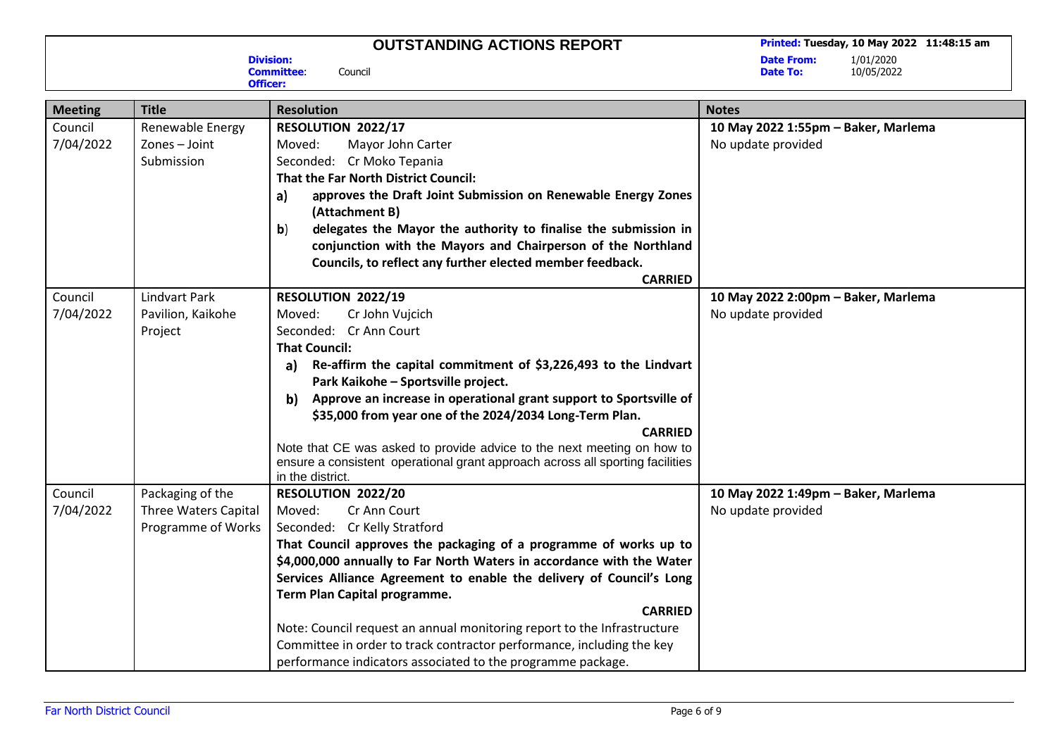**Division:**

**Officer:**

**Committee**: Council

**Printed: Tuesday, 10 May 2022 11:48:15 am** 

**Date From:**<br>Date To:

| <b>Meeting</b> | <b>Title</b>         | <b>Resolution</b>                                                                                                                   | <b>Notes</b>                        |
|----------------|----------------------|-------------------------------------------------------------------------------------------------------------------------------------|-------------------------------------|
| Council        | Renewable Energy     | RESOLUTION 2022/17                                                                                                                  | 10 May 2022 1:55pm - Baker, Marlema |
| 7/04/2022      | Zones - Joint        | Mayor John Carter<br>Moved:                                                                                                         | No update provided                  |
|                | Submission           | Seconded: Cr Moko Tepania                                                                                                           |                                     |
|                |                      | <b>That the Far North District Council:</b>                                                                                         |                                     |
|                |                      | approves the Draft Joint Submission on Renewable Energy Zones<br>a)<br>(Attachment B)                                               |                                     |
|                |                      | delegates the Mayor the authority to finalise the submission in<br>b)                                                               |                                     |
|                |                      | conjunction with the Mayors and Chairperson of the Northland                                                                        |                                     |
|                |                      | Councils, to reflect any further elected member feedback.                                                                           |                                     |
|                |                      | <b>CARRIED</b>                                                                                                                      |                                     |
| Council        | <b>Lindvart Park</b> | RESOLUTION 2022/19                                                                                                                  | 10 May 2022 2:00pm - Baker, Marlema |
| 7/04/2022      | Pavilion, Kaikohe    | Moved:<br>Cr John Vujcich                                                                                                           | No update provided                  |
|                | Project              | Seconded: Cr Ann Court                                                                                                              |                                     |
|                |                      | <b>That Council:</b>                                                                                                                |                                     |
|                |                      | Re-affirm the capital commitment of \$3,226,493 to the Lindvart<br>a)<br>Park Kaikohe - Sportsville project.                        |                                     |
|                |                      | Approve an increase in operational grant support to Sportsville of<br>b)<br>\$35,000 from year one of the 2024/2034 Long-Term Plan. |                                     |
|                |                      | <b>CARRIED</b>                                                                                                                      |                                     |
|                |                      | Note that CE was asked to provide advice to the next meeting on how to                                                              |                                     |
|                |                      | ensure a consistent operational grant approach across all sporting facilities                                                       |                                     |
|                |                      | in the district.                                                                                                                    |                                     |
| Council        | Packaging of the     | RESOLUTION 2022/20                                                                                                                  | 10 May 2022 1:49pm - Baker, Marlema |
| 7/04/2022      | Three Waters Capital | Moved:<br>Cr Ann Court                                                                                                              | No update provided                  |
|                | Programme of Works   | Seconded: Cr Kelly Stratford                                                                                                        |                                     |
|                |                      | That Council approves the packaging of a programme of works up to                                                                   |                                     |
|                |                      | \$4,000,000 annually to Far North Waters in accordance with the Water                                                               |                                     |
|                |                      | Services Alliance Agreement to enable the delivery of Council's Long                                                                |                                     |
|                |                      | Term Plan Capital programme.                                                                                                        |                                     |
|                |                      | <b>CARRIED</b>                                                                                                                      |                                     |
|                |                      | Note: Council request an annual monitoring report to the Infrastructure                                                             |                                     |
|                |                      | Committee in order to track contractor performance, including the key                                                               |                                     |
|                |                      | performance indicators associated to the programme package.                                                                         |                                     |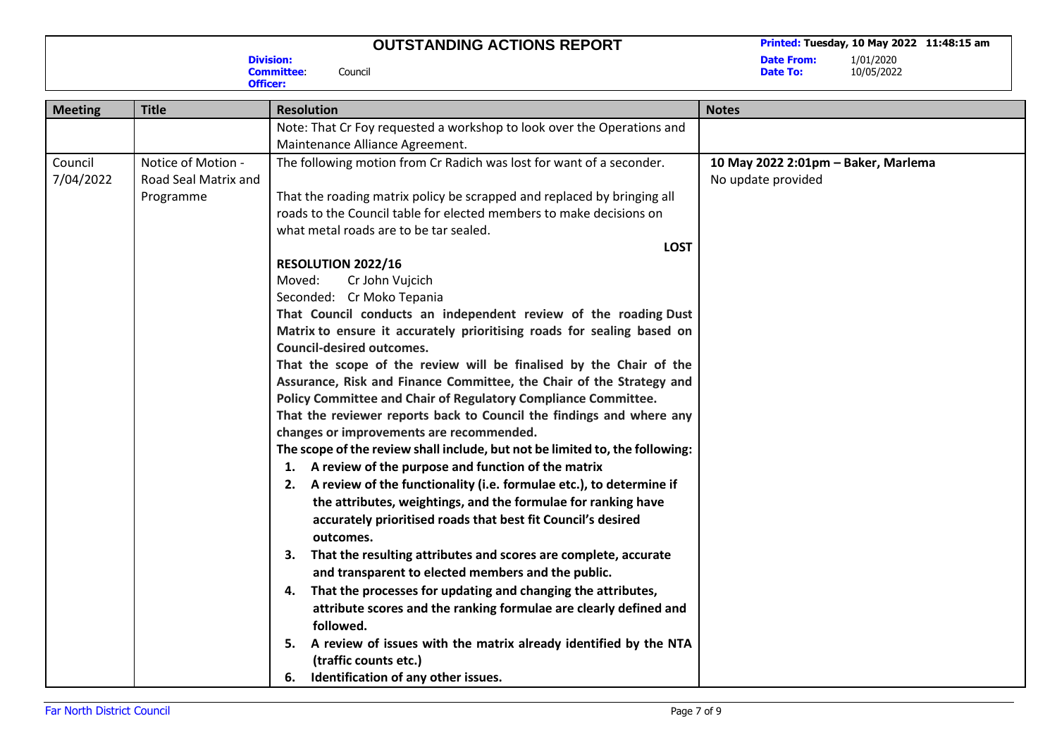**Division:**

**Committee**: Council

**Date From:**<br>Date To:

| Officer:             |                                                         |                                                                                                                                                                                                                                                                                                                                                                                                                                                                                                                                                                                                                                                                                                                                                                                                                                                                                                                                                                                                                                                                                                                                                                                                                                                                                                                                                                                                                                                            |                                                           |
|----------------------|---------------------------------------------------------|------------------------------------------------------------------------------------------------------------------------------------------------------------------------------------------------------------------------------------------------------------------------------------------------------------------------------------------------------------------------------------------------------------------------------------------------------------------------------------------------------------------------------------------------------------------------------------------------------------------------------------------------------------------------------------------------------------------------------------------------------------------------------------------------------------------------------------------------------------------------------------------------------------------------------------------------------------------------------------------------------------------------------------------------------------------------------------------------------------------------------------------------------------------------------------------------------------------------------------------------------------------------------------------------------------------------------------------------------------------------------------------------------------------------------------------------------------|-----------------------------------------------------------|
| <b>Meeting</b>       | <b>Title</b>                                            | <b>Resolution</b>                                                                                                                                                                                                                                                                                                                                                                                                                                                                                                                                                                                                                                                                                                                                                                                                                                                                                                                                                                                                                                                                                                                                                                                                                                                                                                                                                                                                                                          | <b>Notes</b>                                              |
|                      |                                                         | Note: That Cr Foy requested a workshop to look over the Operations and<br>Maintenance Alliance Agreement.                                                                                                                                                                                                                                                                                                                                                                                                                                                                                                                                                                                                                                                                                                                                                                                                                                                                                                                                                                                                                                                                                                                                                                                                                                                                                                                                                  |                                                           |
| Council<br>7/04/2022 | Notice of Motion -<br>Road Seal Matrix and<br>Programme | The following motion from Cr Radich was lost for want of a seconder.<br>That the roading matrix policy be scrapped and replaced by bringing all<br>roads to the Council table for elected members to make decisions on<br>what metal roads are to be tar sealed.<br><b>LOST</b><br>RESOLUTION 2022/16<br>Moved:<br>Cr John Vujcich<br>Seconded: Cr Moko Tepania<br>That Council conducts an independent review of the roading Dust<br>Matrix to ensure it accurately prioritising roads for sealing based on<br><b>Council-desired outcomes.</b><br>That the scope of the review will be finalised by the Chair of the<br>Assurance, Risk and Finance Committee, the Chair of the Strategy and<br>Policy Committee and Chair of Regulatory Compliance Committee.<br>That the reviewer reports back to Council the findings and where any<br>changes or improvements are recommended.<br>The scope of the review shall include, but not be limited to, the following:<br>1. A review of the purpose and function of the matrix<br>2. A review of the functionality (i.e. formulae etc.), to determine if<br>the attributes, weightings, and the formulae for ranking have<br>accurately prioritised roads that best fit Council's desired<br>outcomes.<br>That the resulting attributes and scores are complete, accurate<br>3.<br>and transparent to elected members and the public.<br>That the processes for updating and changing the attributes,<br>4. | 10 May 2022 2:01pm - Baker, Marlema<br>No update provided |
|                      |                                                         | attribute scores and the ranking formulae are clearly defined and<br>followed.                                                                                                                                                                                                                                                                                                                                                                                                                                                                                                                                                                                                                                                                                                                                                                                                                                                                                                                                                                                                                                                                                                                                                                                                                                                                                                                                                                             |                                                           |
|                      |                                                         | A review of issues with the matrix already identified by the NTA<br>5.<br>(traffic counts etc.)<br>6. Identification of any other issues.                                                                                                                                                                                                                                                                                                                                                                                                                                                                                                                                                                                                                                                                                                                                                                                                                                                                                                                                                                                                                                                                                                                                                                                                                                                                                                                  |                                                           |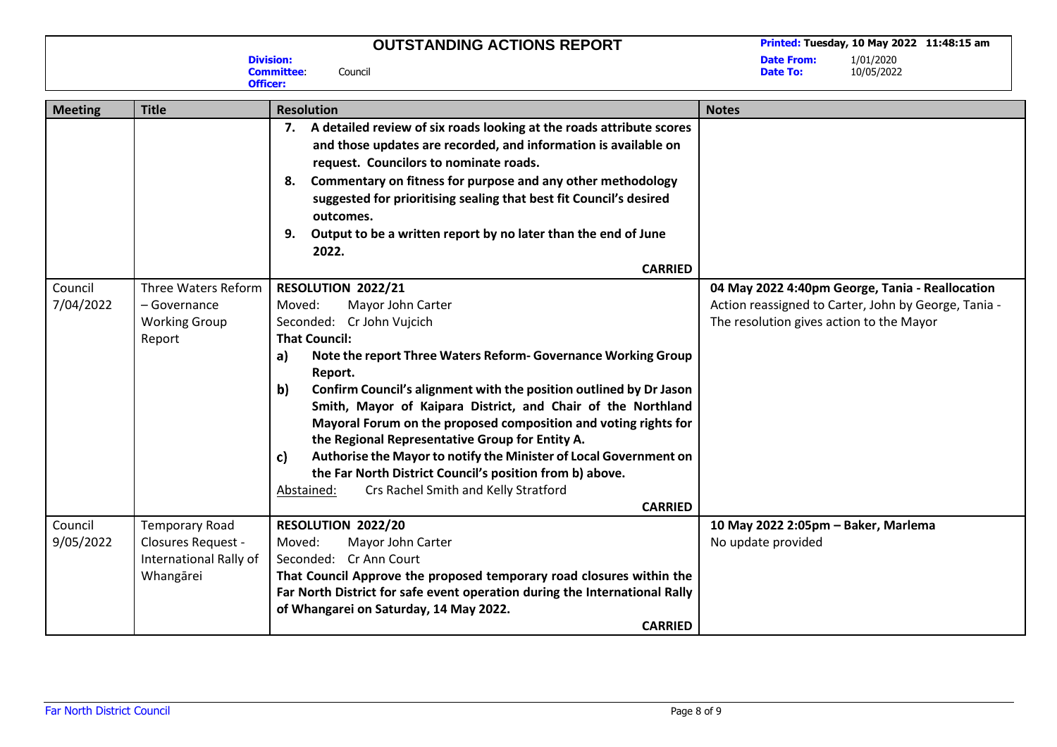**Division:**

**Officer:**

**Committee**: Council

**Date From:**<br>Date To:

| <b>Meeting</b>       | <b>Title</b>                                                                       | <b>Resolution</b>                                                                                                                                                                                                                                                                                                                                                                                                                                                                                                                                                                                                                                                         | <b>Notes</b>                                                                                                                                        |
|----------------------|------------------------------------------------------------------------------------|---------------------------------------------------------------------------------------------------------------------------------------------------------------------------------------------------------------------------------------------------------------------------------------------------------------------------------------------------------------------------------------------------------------------------------------------------------------------------------------------------------------------------------------------------------------------------------------------------------------------------------------------------------------------------|-----------------------------------------------------------------------------------------------------------------------------------------------------|
|                      |                                                                                    | A detailed review of six roads looking at the roads attribute scores<br>7.<br>and those updates are recorded, and information is available on<br>request. Councilors to nominate roads.<br>Commentary on fitness for purpose and any other methodology<br>8.<br>suggested for prioritising sealing that best fit Council's desired<br>outcomes.<br>Output to be a written report by no later than the end of June<br>9.<br>2022.<br><b>CARRIED</b>                                                                                                                                                                                                                        |                                                                                                                                                     |
| Council<br>7/04/2022 | Three Waters Reform<br>- Governance<br><b>Working Group</b><br>Report              | RESOLUTION 2022/21<br>Moved:<br>Mayor John Carter<br>Seconded: Cr John Vujcich<br><b>That Council:</b><br>Note the report Three Waters Reform- Governance Working Group<br>a)<br>Report.<br>b)<br>Confirm Council's alignment with the position outlined by Dr Jason<br>Smith, Mayor of Kaipara District, and Chair of the Northland<br>Mayoral Forum on the proposed composition and voting rights for<br>the Regional Representative Group for Entity A.<br>Authorise the Mayor to notify the Minister of Local Government on<br>c)<br>the Far North District Council's position from b) above.<br>Crs Rachel Smith and Kelly Stratford<br>Abstained:<br><b>CARRIED</b> | 04 May 2022 4:40pm George, Tania - Reallocation<br>Action reassigned to Carter, John by George, Tania -<br>The resolution gives action to the Mayor |
| Council<br>9/05/2022 | <b>Temporary Road</b><br>Closures Request -<br>International Rally of<br>Whangārei | RESOLUTION 2022/20<br>Moved:<br>Mayor John Carter<br>Seconded: Cr Ann Court<br>That Council Approve the proposed temporary road closures within the<br>Far North District for safe event operation during the International Rally<br>of Whangarei on Saturday, 14 May 2022.<br><b>CARRIED</b>                                                                                                                                                                                                                                                                                                                                                                             | 10 May 2022 2:05pm - Baker, Marlema<br>No update provided                                                                                           |